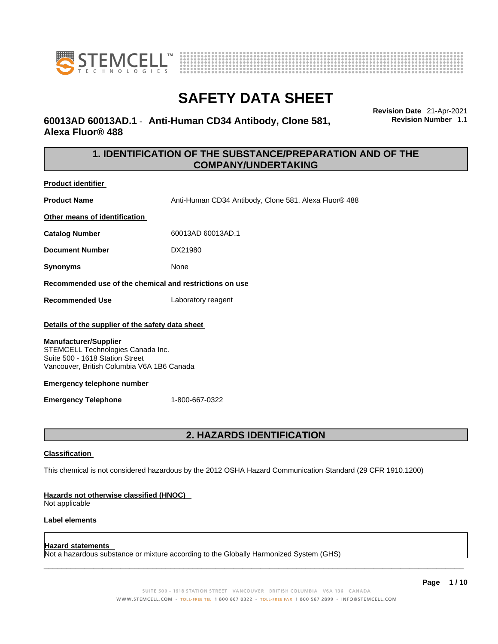



### **60013AD 60013AD.1** - **Anti-Human CD34 Antibody, Clone 581, Alexa Fluor® 488**

**Revision Date** 21-Apr-2021 **Revision Number** 1.1

### **1. IDENTIFICATION OF THE SUBSTANCE/PREPARATION AND OF THE COMPANY/UNDERTAKING**

**Product identifier**

**Product Name** Anti-Human CD34 Antibody, Clone 581, Alexa Fluor® 488

**Other means of identification**

**Catalog Number** 60013AD 60013AD.1

**Document Number** DX21980

**Synonyms** None

**Recommended use of the chemical and restrictions on use**

**Recommended Use** Laboratory reagent

### **Details of the supplier of the safety data sheet**

### **Manufacturer/Supplier**

STEMCELL Technologies Canada Inc. Suite 500 - 1618 Station Street Vancouver, British Columbia V6A 1B6 Canada

### **Emergency telephone number**

**Emergency Telephone** 1-800-667-0322

## **2. HAZARDS IDENTIFICATION**

### **Classification**

This chemical is not considered hazardous by the 2012 OSHA Hazard Communication Standard (29 CFR 1910.1200)

### **Hazards not otherwise classified (HNOC)**

Not applicable

### **Label elements**

### **Hazard statements**

Not a hazardous substance or mixture according to the Globally Harmonized System (GHS)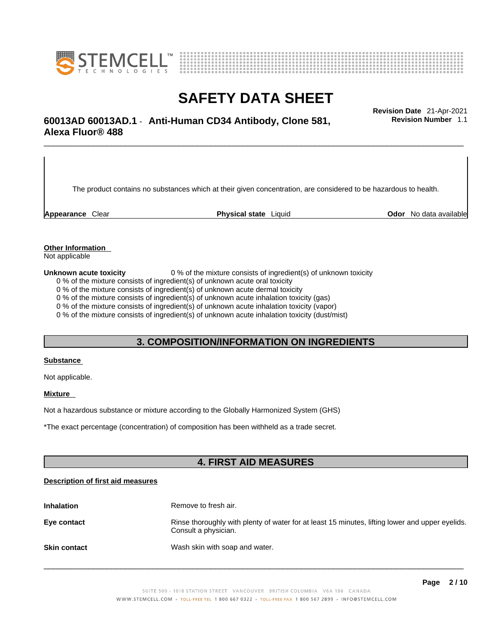



# \_\_\_\_\_\_\_\_\_\_\_\_\_\_\_\_\_\_\_\_\_\_\_\_\_\_\_\_\_\_\_\_\_\_\_\_\_\_\_\_\_\_\_\_\_\_\_\_\_\_\_\_\_\_\_\_\_\_\_\_\_\_\_\_\_\_\_\_\_\_\_\_\_\_\_\_\_\_\_\_\_\_\_\_\_\_\_\_\_\_\_\_\_ **Revision Date** 21-Apr-2021 **60013AD 60013AD.1** - **Anti-Human CD34 Antibody, Clone 581, Alexa Fluor® 488**

The product contains no substances which at their given concentration, are considered to be hazardous to health.

**Appearance** Clear **Physical state** Liquid **Odor** No data available

**Revision Number** 1.1

**Other Information** 

Not applicable

**Unknown acute toxicity** 0 % of the mixture consists of ingredient(s) of unknown toxicity

0 % of the mixture consists of ingredient(s) of unknown acute oral toxicity

0 % of the mixture consists of ingredient(s) of unknown acute dermal toxicity

0 % of the mixture consists of ingredient(s) of unknown acute inhalation toxicity (gas)

0 % of the mixture consists of ingredient(s) of unknown acute inhalation toxicity (vapor)

0 % of the mixture consists of ingredient(s) of unknown acute inhalation toxicity (dust/mist)

### **3. COMPOSITION/INFORMATION ON INGREDIENTS**

### **Substance**

Not applicable.

### **Mixture**

Not a hazardous substance or mixture according to the Globally Harmonized System (GHS)

\*The exact percentage (concentration) ofcomposition has been withheld as a trade secret.

### **4. FIRST AID MEASURES**

### **Description of first aid measures**

| <b>Inhalation</b>   | Remove to fresh air.                                                                                                    |
|---------------------|-------------------------------------------------------------------------------------------------------------------------|
| Eye contact         | Rinse thoroughly with plenty of water for at least 15 minutes, lifting lower and upper eyelids.<br>Consult a physician. |
| <b>Skin contact</b> | Wash skin with soap and water.                                                                                          |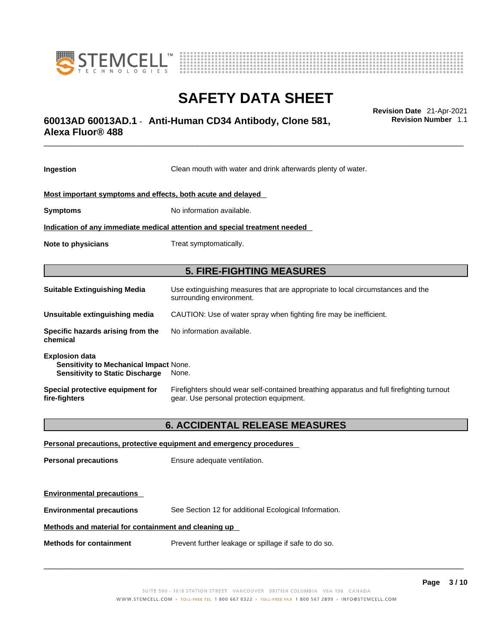



# \_\_\_\_\_\_\_\_\_\_\_\_\_\_\_\_\_\_\_\_\_\_\_\_\_\_\_\_\_\_\_\_\_\_\_\_\_\_\_\_\_\_\_\_\_\_\_\_\_\_\_\_\_\_\_\_\_\_\_\_\_\_\_\_\_\_\_\_\_\_\_\_\_\_\_\_\_\_\_\_\_\_\_\_\_\_\_\_\_\_\_\_\_ **Revision Date** 21-Apr-2021 **60013AD 60013AD.1** - **Anti-Human CD34 Antibody, Clone 581, Alexa Fluor® 488**

**Ingestion** Clean mouth with water and drink afterwards plenty of water. **Most important symptoms and effects, both acute and delayed Symptoms** No information available. **Indication of any immediate medical attention and special treatment needed Note to physicians** Treat symptomatically. **5. FIRE-FIGHTING MEASURES Suitable Extinguishing Media** Use extinguishing measures that are appropriate to local circumstances and the surrounding environment. **Unsuitable extinguishing media** CAUTION: Use of water spray when fighting fire may be inefficient. **Specific hazards arising from the chemical** No information available. **Explosion data Sensitivity to Mechanical Impact** None. **Sensitivity to Static Discharge** None. **Special protective equipment for fire-fighters** Firefighters should wear self-contained breathing apparatus and full firefighting turnout gear. Use personal protection equipment. **6. ACCIDENTAL RELEASE MEASURES Personal precautions, protective equipment and emergency procedures Personal precautions** Ensure adequate ventilation.

**Environmental precautions** See Section 12 for additional Ecological Information.

### **Methods and material for containment and cleaning up**

**Methods for containment** Prevent further leakage or spillage if safe to do so.

**Environmental precautions** 

 $\_$  ,  $\_$  ,  $\_$  ,  $\_$  ,  $\_$  ,  $\_$  ,  $\_$  ,  $\_$  ,  $\_$  ,  $\_$  ,  $\_$  ,  $\_$  ,  $\_$  ,  $\_$  ,  $\_$  ,  $\_$  ,  $\_$  ,  $\_$  ,  $\_$  ,  $\_$  ,  $\_$  ,  $\_$  ,  $\_$  ,  $\_$  ,  $\_$  ,  $\_$  ,  $\_$  ,  $\_$  ,  $\_$  ,  $\_$  ,  $\_$  ,  $\_$  ,  $\_$  ,  $\_$  ,  $\_$  ,  $\_$  ,  $\_$  ,

**Revision Number** 1.1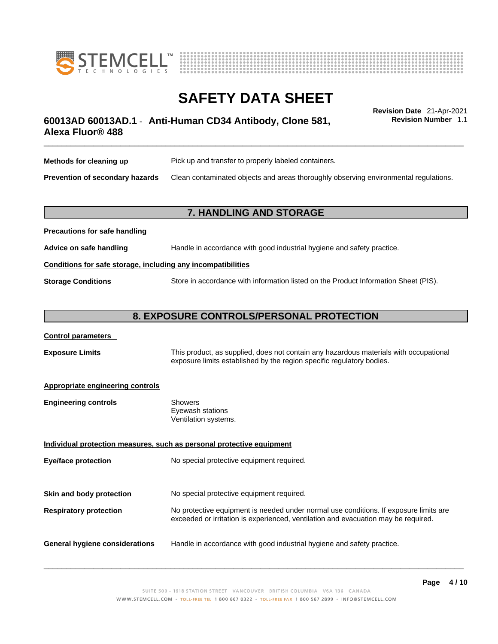



# \_\_\_\_\_\_\_\_\_\_\_\_\_\_\_\_\_\_\_\_\_\_\_\_\_\_\_\_\_\_\_\_\_\_\_\_\_\_\_\_\_\_\_\_\_\_\_\_\_\_\_\_\_\_\_\_\_\_\_\_\_\_\_\_\_\_\_\_\_\_\_\_\_\_\_\_\_\_\_\_\_\_\_\_\_\_\_\_\_\_\_\_\_ **Revision Date** 21-Apr-2021 **60013AD 60013AD.1** - **Anti-Human CD34 Antibody, Clone 581, Alexa Fluor® 488**

**Revision Number** 1.1

| Methods for cleaning up         | Pick up and transfer to properly labeled containers.                                 |
|---------------------------------|--------------------------------------------------------------------------------------|
| Prevention of secondary hazards | Clean contaminated objects and areas thoroughly observing environmental regulations. |

### **7. HANDLING AND STORAGE**

| <b>I</b> recaduotis for safe handling                        |                                                                                     |  |
|--------------------------------------------------------------|-------------------------------------------------------------------------------------|--|
| Advice on safe handling                                      | Handle in accordance with good industrial hygiene and safety practice.              |  |
| Conditions for safe storage, including any incompatibilities |                                                                                     |  |
| <b>Storage Conditions</b>                                    | Store in accordance with information listed on the Product Information Sheet (PIS). |  |

### **8. EXPOSURE CONTROLS/PERSONAL PROTECTION**

### **Control parameters**

**Precautions for safe handling**

**Exposure Limits** This product, as supplied, does not contain any hazardous materials with occupational exposure limits established by the region specific regulatory bodies.

### **Appropriate engineering controls**

| Showers              |  |
|----------------------|--|
| Eyewash stations     |  |
| Ventilation systems. |  |
|                      |  |

**Individual protection measures, such as personal protective equipment Eye/face protection** No special protective equipment required. **Skin and body protection** No special protective equipment required. **Respiratory protection** No protective equipment is needed under normal use conditions. If exposure limits are exceeded or irritation is experienced, ventilation and evacuation may be required. **General hygiene considerations** Handle in accordance with good industrial hygiene and safety practice.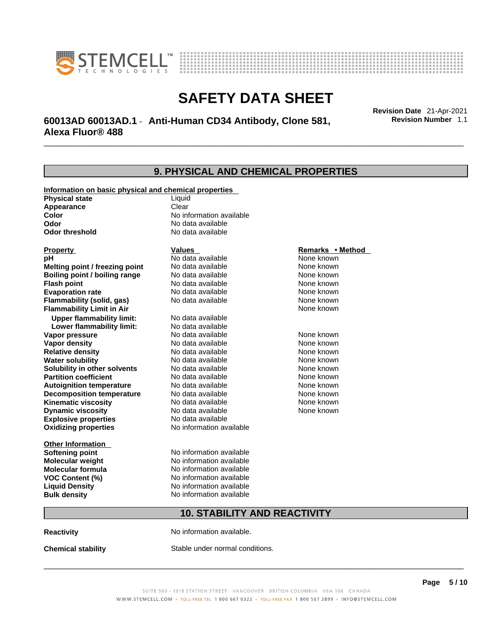



# \_\_\_\_\_\_\_\_\_\_\_\_\_\_\_\_\_\_\_\_\_\_\_\_\_\_\_\_\_\_\_\_\_\_\_\_\_\_\_\_\_\_\_\_\_\_\_\_\_\_\_\_\_\_\_\_\_\_\_\_\_\_\_\_\_\_\_\_\_\_\_\_\_\_\_\_\_\_\_\_\_\_\_\_\_\_\_\_\_\_\_\_\_ **Revision Date** 21-Apr-2021 **60013AD 60013AD.1** - **Anti-Human CD34 Antibody, Clone 581, Alexa Fluor® 488**

**9. PHYSICAL AND CHEMICAL PROPERTIES Information on basic physical and chemical properties Physical state** Liquid **Appearance** Clear<br> **Color** No int **Color Color Color Color Color Color Color No** data available **Odor Odor Constanting Codor Constanting Codor Codor Codor Codor Codor Codor Codor Codor Codor Codor Codor Codor Codor Codor Codor Codor Codor Codor Codor Codor Codor Codor Codor No data available Explosive properties** No data available **Oxidizing properties** No information available **Other Information Softening point** No information available **Molecular weight** No information available **Molecular formula** No information available<br>**VOC Content (%)** No information available **VOC Content (%) Liquid Density** No information available **Bulk density No information available 10. STABILITY AND REACTIVITY Property CONSCRUTE IN THE VALUES REMARKS • Method pH** No data available None known **Melting point / freezing point Boiling point / boiling range Modata available None known Flash point Communist Communist Communist Communist Communist Communist Communist Communist Communist Communist Communist Communist Communist Communist Communist Communist Communist Communist Communist Communist Communi Evaporation rate Configure 1 Accord None Configure 1 Accord None known**<br> **Elammability (solid. gas)** No data available **None known** None known **Flammability (solid, gas)** No data available None known **Flammability Limit in Air None known None known Upper flammability limit:** No data available **Lower flammability limit:** No data available **Vapor pressure No data available None known Vapor density Notata available None known Relative density No data available None known Water solubility No data available Mone known**<br> **Solubility in other solvents** No data available None known None known **Solubility in other solvents** No data available **None known**<br> **Partition coefficient** No data available **None known**<br>
None known **Partition coefficient**<br> **Autoignition temperature**<br>
No data available **Autoignition temperature No data available None known**<br> **Decomposition temperature** No data available **None known**<br>
None known **Decomposition temperature** No data available None known<br> **Kinematic viscosity** No data available None known **Kinematic viscosity** No data available<br> **Dynamic viscosity** No data available **Dynamic viscosity** None known

**Reactivity No information available.** 

**Chemical stability** Stable under normal conditions.

 $\_$  ,  $\_$  ,  $\_$  ,  $\_$  ,  $\_$  ,  $\_$  ,  $\_$  ,  $\_$  ,  $\_$  ,  $\_$  ,  $\_$  ,  $\_$  ,  $\_$  ,  $\_$  ,  $\_$  ,  $\_$  ,  $\_$  ,  $\_$  ,  $\_$  ,  $\_$  ,  $\_$  ,  $\_$  ,  $\_$  ,  $\_$  ,  $\_$  ,  $\_$  ,  $\_$  ,  $\_$  ,  $\_$  ,  $\_$  ,  $\_$  ,  $\_$  ,  $\_$  ,  $\_$  ,  $\_$  ,  $\_$  ,  $\_$  ,

**Revision Number** 1.1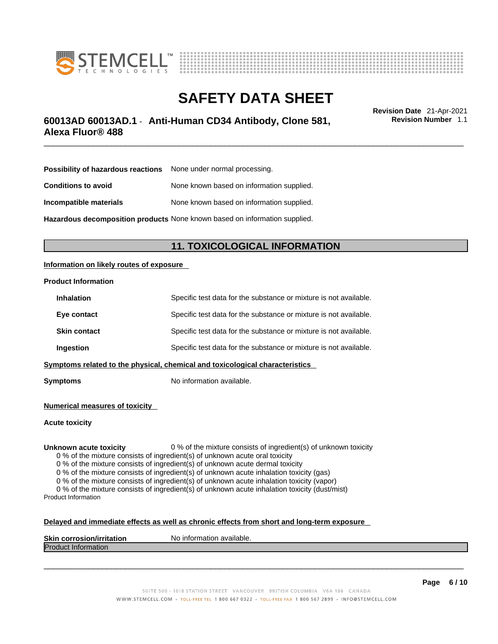



# \_\_\_\_\_\_\_\_\_\_\_\_\_\_\_\_\_\_\_\_\_\_\_\_\_\_\_\_\_\_\_\_\_\_\_\_\_\_\_\_\_\_\_\_\_\_\_\_\_\_\_\_\_\_\_\_\_\_\_\_\_\_\_\_\_\_\_\_\_\_\_\_\_\_\_\_\_\_\_\_\_\_\_\_\_\_\_\_\_\_\_\_\_ **Revision Date** 21-Apr-2021 **60013AD 60013AD.1** - **Anti-Human CD34 Antibody, Clone 581, Alexa Fluor® 488**

**Revision Number** 1.1

| <b>Possibility of hazardous reactions</b> None under normal processing.    |                                           |
|----------------------------------------------------------------------------|-------------------------------------------|
| <b>Conditions to avoid</b>                                                 | None known based on information supplied. |
| Incompatible materials                                                     | None known based on information supplied. |
| Hazardous decomposition products None known based on information supplied. |                                           |

**11. TOXICOLOGICAL INFORMATION** 

### **Information on likely routes of exposure**

### **Product Information**

| <b>Inhalation</b>                                                            | Specific test data for the substance or mixture is not available. |  |
|------------------------------------------------------------------------------|-------------------------------------------------------------------|--|
| Eye contact                                                                  | Specific test data for the substance or mixture is not available. |  |
| <b>Skin contact</b>                                                          | Specific test data for the substance or mixture is not available. |  |
| Ingestion                                                                    | Specific test data for the substance or mixture is not available. |  |
| Symptoms related to the physical, chemical and toxicological characteristics |                                                                   |  |

**Symptoms** No information available.

**Numerical measures of toxicity**

**Acute toxicity**

**Unknown acute toxicity** 0 % of the mixture consists of ingredient(s) of unknown toxicity

0 % of the mixture consists of ingredient(s) of unknown acute oral toxicity

0 % of the mixture consists of ingredient(s) of unknown acute dermal toxicity

0 % of the mixture consists of ingredient(s) of unknown acute inhalation toxicity (gas)

0 % of the mixture consists of ingredient(s) of unknown acute inhalation toxicity (vapor)

0 % of the mixture consists of ingredient(s) of unknown acute inhalation toxicity (dust/mist) Product Information

#### **Delayed and immediate effects as well as chronic effects from short and long-term exposure**

| <b>Skin corrosion</b><br><b>ion/irritation</b> | N٥<br>`available.<br>ıntorn<br>nation |
|------------------------------------------------|---------------------------------------|
| Produc<br>≅πποπmation                          |                                       |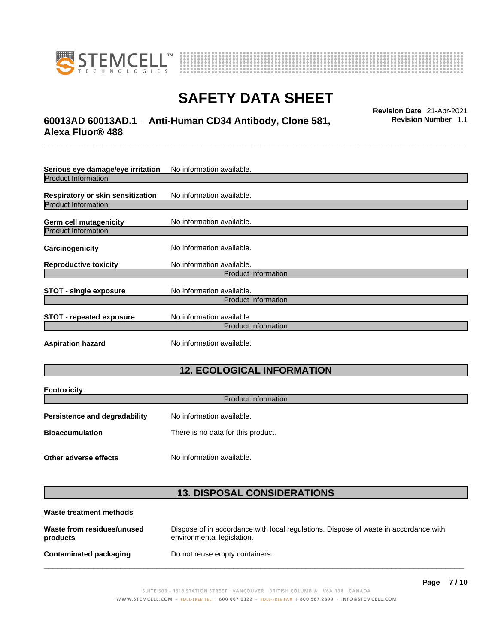

**Ecotoxicity** 



# **SAFETY DATA SHEET**

# \_\_\_\_\_\_\_\_\_\_\_\_\_\_\_\_\_\_\_\_\_\_\_\_\_\_\_\_\_\_\_\_\_\_\_\_\_\_\_\_\_\_\_\_\_\_\_\_\_\_\_\_\_\_\_\_\_\_\_\_\_\_\_\_\_\_\_\_\_\_\_\_\_\_\_\_\_\_\_\_\_\_\_\_\_\_\_\_\_\_\_\_\_ **Revision Date** 21-Apr-2021 **60013AD 60013AD.1** - **Anti-Human CD34 Antibody, Clone 581, Alexa Fluor® 488**

**Revision Number** 1.1

| Serious eye damage/eye irritation | No information available. |  |
|-----------------------------------|---------------------------|--|
| <b>Product Information</b>        |                           |  |
| Respiratory or skin sensitization | No information available. |  |
| <b>Product Information</b>        |                           |  |
| <b>Germ cell mutagenicity</b>     | No information available. |  |
| <b>Product Information</b>        |                           |  |
| Carcinogenicity                   | No information available. |  |
| <b>Reproductive toxicity</b>      | No information available. |  |
| <b>Product Information</b>        |                           |  |
| <b>STOT - single exposure</b>     | No information available. |  |
| <b>Product Information</b>        |                           |  |
| <b>STOT - repeated exposure</b>   | No information available. |  |
| <b>Product Information</b>        |                           |  |
| <b>Aspiration hazard</b>          | No information available. |  |

# **12. ECOLOGICAL INFORMATION**

| <b>ECOTOXICITY</b><br><b>Product Information</b>                  |                                    |  |
|-------------------------------------------------------------------|------------------------------------|--|
| No information available.<br><b>Persistence and degradability</b> |                                    |  |
| <b>Bioaccumulation</b>                                            | There is no data for this product. |  |
| Other adverse effects                                             | No information available.          |  |

## **13. DISPOSAL CONSIDERATIONS**

| Waste treatment methods                |                                                                                                                    |
|----------------------------------------|--------------------------------------------------------------------------------------------------------------------|
| Waste from residues/unused<br>products | Dispose of in accordance with local regulations. Dispose of waste in accordance with<br>environmental legislation. |
| <b>Contaminated packaging</b>          | Do not reuse empty containers.                                                                                     |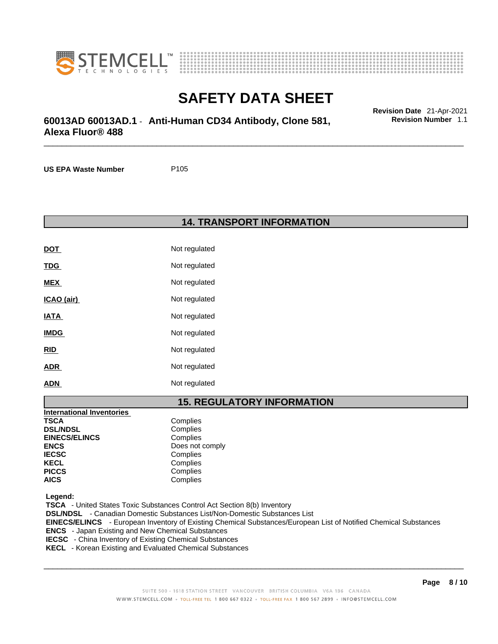



# \_\_\_\_\_\_\_\_\_\_\_\_\_\_\_\_\_\_\_\_\_\_\_\_\_\_\_\_\_\_\_\_\_\_\_\_\_\_\_\_\_\_\_\_\_\_\_\_\_\_\_\_\_\_\_\_\_\_\_\_\_\_\_\_\_\_\_\_\_\_\_\_\_\_\_\_\_\_\_\_\_\_\_\_\_\_\_\_\_\_\_\_\_ **Revision Date** 21-Apr-2021 **60013AD 60013AD.1** - **Anti-Human CD34 Antibody, Clone 581, Alexa Fluor® 488**

**US EPA Waste Number** P105

**14. TRANSPORT INFORMATION** 

| <b>DOT</b>  | Not regulated |
|-------------|---------------|
| <u>TDG</u>  | Not regulated |
| <b>MEX</b>  | Not regulated |
| ICAO (air)  | Not regulated |
| IATA        | Not regulated |
| <b>IMDG</b> | Not regulated |
| <u>RID</u>  | Not regulated |
| <b>ADR</b>  | Not regulated |
| <b>ADN</b>  | Not regulated |

### **15. REGULATORY INFORMATION**

| <b>International Inventories</b> |                 |
|----------------------------------|-----------------|
| <b>TSCA</b>                      | Complies        |
| <b>DSL/NDSL</b>                  | Complies        |
| <b>EINECS/ELINCS</b>             | Complies        |
| <b>ENCS</b>                      | Does not comply |
| <b>IECSC</b>                     | Complies        |
| <b>KECL</b>                      | Complies        |
| <b>PICCS</b>                     | Complies        |
| <b>AICS</b>                      | Complies        |

 **Legend:** 

 **TSCA** - United States Toxic Substances Control Act Section 8(b) Inventory  **DSL/NDSL** - Canadian Domestic Substances List/Non-Domestic Substances List  **EINECS/ELINCS** - European Inventory of Existing Chemical Substances/European List of Notified Chemical Substances  **ENCS** - Japan Existing and New Chemical Substances  **IECSC** - China Inventory of Existing Chemical Substances  **KECL** - Korean Existing and Evaluated Chemical Substances

 $\_$  ,  $\_$  ,  $\_$  ,  $\_$  ,  $\_$  ,  $\_$  ,  $\_$  ,  $\_$  ,  $\_$  ,  $\_$  ,  $\_$  ,  $\_$  ,  $\_$  ,  $\_$  ,  $\_$  ,  $\_$  ,  $\_$  ,  $\_$  ,  $\_$  ,  $\_$  ,  $\_$  ,  $\_$  ,  $\_$  ,  $\_$  ,  $\_$  ,  $\_$  ,  $\_$  ,  $\_$  ,  $\_$  ,  $\_$  ,  $\_$  ,  $\_$  ,  $\_$  ,  $\_$  ,  $\_$  ,  $\_$  ,  $\_$  ,

**Revision Number** 1.1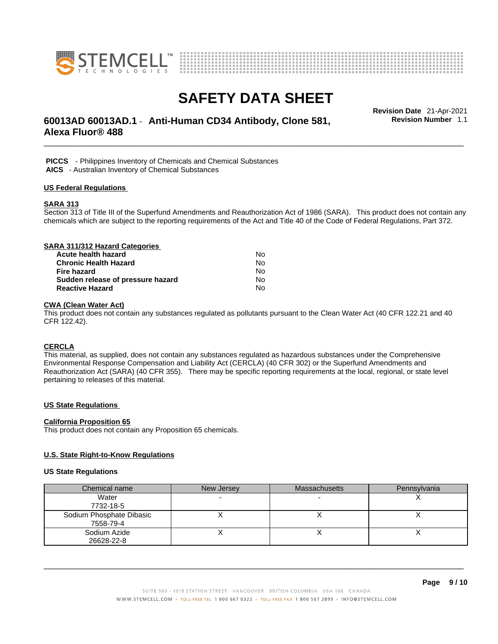



# \_\_\_\_\_\_\_\_\_\_\_\_\_\_\_\_\_\_\_\_\_\_\_\_\_\_\_\_\_\_\_\_\_\_\_\_\_\_\_\_\_\_\_\_\_\_\_\_\_\_\_\_\_\_\_\_\_\_\_\_\_\_\_\_\_\_\_\_\_\_\_\_\_\_\_\_\_\_\_\_\_\_\_\_\_\_\_\_\_\_\_\_\_ **Revision Date** 21-Apr-2021 **60013AD 60013AD.1** - **Anti-Human CD34 Antibody, Clone 581, Alexa Fluor® 488**

**Revision Number** 1.1

 **PICCS** - Philippines Inventory of Chemicals and Chemical Substances  **AICS** - Australian Inventory of Chemical Substances

## **US Federal Regulations**

### **SARA 313**

Section 313 of Title III of the Superfund Amendments and Reauthorization Act of 1986 (SARA). This product does not contain any chemicals which are subject to the reporting requirements of the Act and Title 40 of the Code of Federal Regulations, Part 372.

| SARA 311/312 Hazard Categories    |    |  |
|-----------------------------------|----|--|
| Acute health hazard               | Nο |  |
| <b>Chronic Health Hazard</b>      | No |  |
| Fire hazard                       | No |  |
| Sudden release of pressure hazard | No |  |
| <b>Reactive Hazard</b>            | No |  |

### **CWA (Clean WaterAct)**

This product does not contain any substances regulated as pollutants pursuant to the Clean Water Act (40 CFR 122.21 and 40 CFR 122.42).

### **CERCLA**

This material, as supplied, does not contain any substances regulated as hazardous substances under the Comprehensive Environmental Response Compensation and Liability Act (CERCLA) (40 CFR 302) or the Superfund Amendments and Reauthorization Act (SARA) (40 CFR 355). There may be specific reporting requirements at the local, regional, or state level pertaining to releases of this material.

### **US State Regulations**

#### **California Proposition 65**

This product does not contain any Proposition 65 chemicals.

### **U.S. State Right-to-Know Regulations**

#### **US State Regulations**

| Chemical name            | New Jersey | <b>Massachusetts</b> | Pennsylvania |
|--------------------------|------------|----------------------|--------------|
| Water                    |            |                      |              |
| 7732-18-5                |            |                      |              |
| Sodium Phosphate Dibasic |            |                      |              |
| 7558-79-4                |            |                      |              |
| Sodium Azide             |            |                      |              |
| 26628-22-8               |            |                      |              |